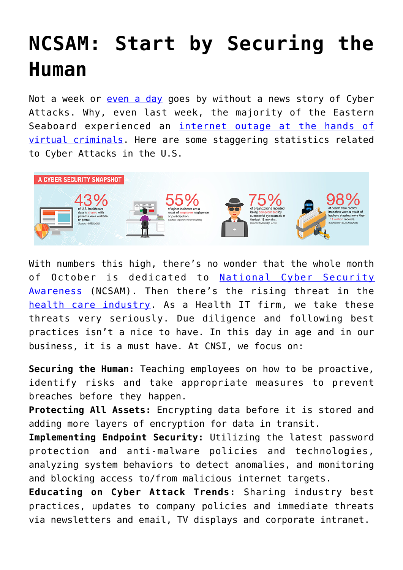## **[NCSAM: Start by Securing the](https://www.cns-inc.com/insights/thought-leadership/ncsam-start-by-securing-the-human/) [Human](https://www.cns-inc.com/insights/thought-leadership/ncsam-start-by-securing-the-human/)**

Not a week or [even a day](http://fedscoop.com/ransomware-attacks-up-300-percent-in-first-quarter-of-2016) goes by without a news story of Cyber Attacks. Why, even last week, the majority of the Eastern Seaboard experienced an [internet outage at the hands of](http://abc7news.com/news/hackers-claim-responsibility-for-massive-cyber-attack/1569209/) [virtual criminals](http://abc7news.com/news/hackers-claim-responsibility-for-massive-cyber-attack/1569209/). Here are some staggering statistics related to Cyber Attacks in the U.S.



With numbers this high, there's no wonder that the whole month of October is dedicated to [National Cyber Security](https://staysafeonline.org/ncsam/) [Awareness](https://staysafeonline.org/ncsam/) (NCSAM). Then there's the rising threat in the [health care industry.](http://www.nbcnews.com/tech/tech-news/cyber-attacks-negligence-lead-rise-medical-data-breaches-n575471) As a Health IT firm, we take these threats very seriously. Due diligence and following best practices isn't a nice to have. In this day in age and in our business, it is a must have. At CNSI, we focus on:

**Securing the Human:** Teaching employees on how to be proactive, identify risks and take appropriate measures to prevent breaches before they happen.

**Protecting All Assets:** Encrypting data before it is stored and adding more layers of encryption for data in transit.

**Implementing Endpoint Security:** Utilizing the latest password protection and anti-malware policies and technologies, analyzing system behaviors to detect anomalies, and monitoring and blocking access to/from malicious internet targets.

**Educating on Cyber Attack Trends:** Sharing industry best practices, updates to company policies and immediate threats via newsletters and email, TV displays and corporate intranet.